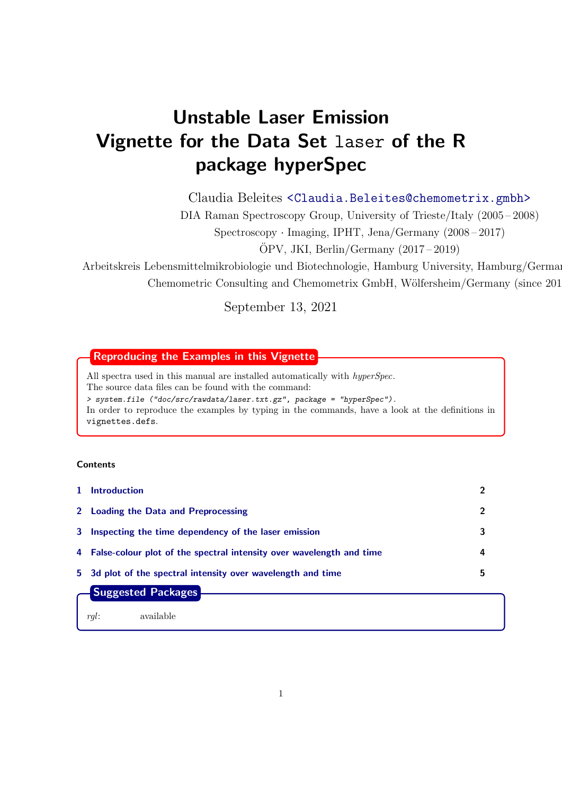# Unstable Laser Emission Vignette for the Data Set laser of the R package hyperSpec

Claudia Beleites <<Claudia.Beleites@chemometrix.gmbh>>

DIA Raman Spectroscopy Group, University of Trieste/Italy (2005 – 2008)

Spectroscopy · Imaging, IPHT, Jena/Germany (2008 – 2017)

 $\text{ÖPV}, \text{JKI}, \text{Berlin}/\text{Germany}$  (2017 – 2019)

Arbeitskreis Lebensmittelmikrobiologie und Biotechnologie, Hamburg University, Hamburg/German Chemometric Consulting and Chemometrix GmbH, Wölfersheim/Germany (since 201

September 13, 2021

# Reproducing the Examples in this Vignette

All spectra used in this manual are installed automatically with hyperSpec. The source data files can be found with the command: > system.file ("doc/src/rawdata/laser.txt.gz", package = "hyperSpec"). In order to reproduce the examples by typing in the commands, have a look at the definitions in vignettes.defs.

# **Contents**

| 1 Introduction                                                         | 2 |  |
|------------------------------------------------------------------------|---|--|
| 2 Loading the Data and Preprocessing                                   | 2 |  |
| 3 Inspecting the time dependency of the laser emission                 | 3 |  |
| 4 False-colour plot of the spectral intensity over wavelength and time | 4 |  |
| 5 3d plot of the spectral intensity over wavelength and time           | 5 |  |
| <b>Suggested Packages</b>                                              |   |  |
| available<br>ral:                                                      |   |  |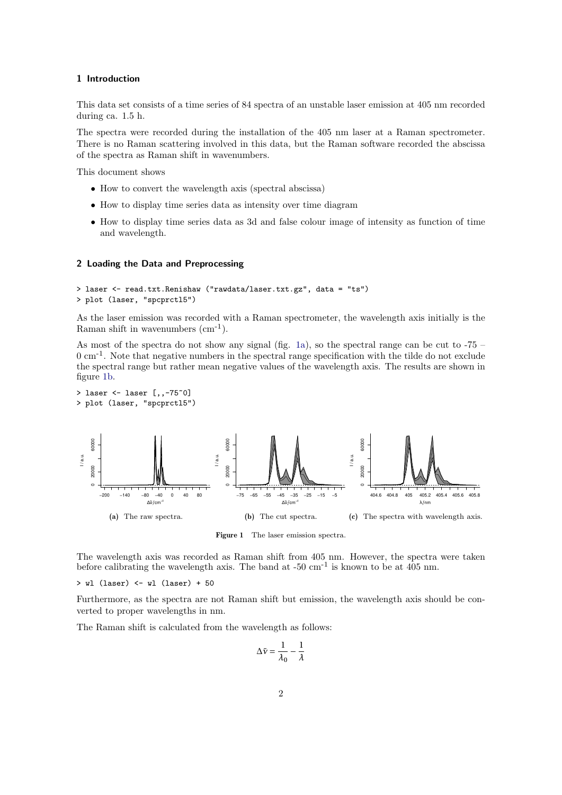# <span id="page-1-0"></span>1 Introduction

This data set consists of a time series of 84 spectra of an unstable laser emission at 405 nm recorded during ca. 1.5 h.

The spectra were recorded during the installation of the 405 nm laser at a Raman spectrometer. There is no Raman scattering involved in this data, but the Raman software recorded the abscissa of the spectra as Raman shift in wavenumbers.

This document shows

- How to convert the wavelength axis (spectral abscissa)
- How to display time series data as intensity over time diagram
- How to display time series data as 3d and false colour image of intensity as function of time and wavelength.

## <span id="page-1-1"></span>2 Loading the Data and Preprocessing

```
> laser <- read.txt.Renishaw ("rawdata/laser.txt.gz", data = "ts")
> plot (laser, "spcprctl5")
```
As the laser emission was recorded with a Raman spectrometer, the wavelength axis initially is the Raman shift in wavenumbers  $(cm<sup>-1</sup>)$ .

As most of the spectra do not show any signal (fig. [1a\)](#page-1-2), so the spectral range can be cut to  $-75$  –  $0 \text{ cm}^{-1}$ . Note that negative numbers in the spectral range specification with the tilde do not exclude the spectral range but rather mean negative values of the wavelength axis. The results are shown in figure [1b.](#page-1-3)

```
> laser <- laser [,,-75~0]
> plot (laser, "spcprctl5")
```
<span id="page-1-2"></span>

<span id="page-1-3"></span>Figure 1 The laser emission spectra.

The wavelength axis was recorded as Raman shift from 405 nm. However, the spectra were taken before calibrating the wavelength axis. The band at  $-50 \text{ cm}^{-1}$  is known to be at 405 nm.

> wl (laser) <- wl (laser) + 50

Furthermore, as the spectra are not Raman shift but emission, the wavelength axis should be converted to proper wavelengths in nm.

The Raman shift is calculated from the wavelength as follows:

$$
\Delta \tilde{\nu} = \frac{1}{\lambda_0} - \frac{1}{\lambda}
$$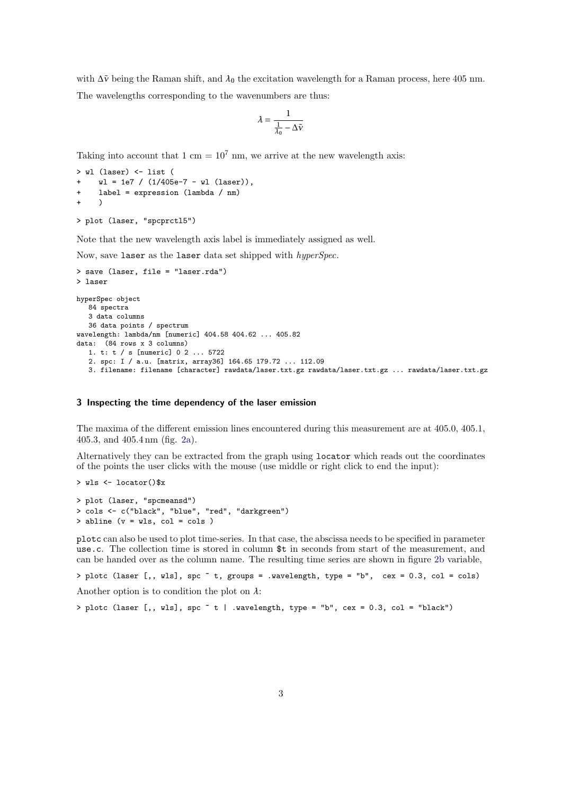with ∆*ν*˜ being the Raman shift, and *λ*<sup>0</sup> the excitation wavelength for a Raman process, here 405 nm.

The wavelengths corresponding to the wavenumbers are thus:

$$
\lambda = \frac{1}{\frac{1}{\lambda_0} - \Delta \tilde{\nu}}
$$

Taking into account that 1 cm =  $10^7$  nm, we arrive at the new wavelength axis:

```
> wl (laser) <- list (
    wl = 1e7 / (1/405e-7 - w1 (laser)),+ label = expression (lambda / nm)
+ )
> plot (laser, "spcprctl5")
```
Note that the new wavelength axis label is immediately assigned as well.

Now, save laser as the laser data set shipped with hyperSpec.

```
> save (laser, file = "laser.rda")
> laser
hyperSpec object
   84 spectra
   3 data columns
   36 data points / spectrum
wavelength: lambda/nm [numeric] 404.58 404.62 ... 405.82
data: (84 rows x 3 columns)
   1. t: t / s [numeric] 0 2 ... 5722
   2. spc: I / a.u. [matrix, array36] 164.65 179.72 ... 112.09
   3. filename: filename [character] rawdata/laser.txt.gz rawdata/laser.txt.gz ... rawdata/laser.txt.gz
```
#### <span id="page-2-0"></span>3 Inspecting the time dependency of the laser emission

The maxima of the different emission lines encountered during this measurement are at 405.0, 405.1, 405.3, and 405.4 nm (fig. [2a\)](#page-3-1).

Alternatively they can be extracted from the graph using locator which reads out the coordinates of the points the user clicks with the mouse (use middle or right click to end the input):

```
> wls <- locator()$x
> plot (laser, "spcmeansd")
> cols <- c("black", "blue", "red", "darkgreen")
> abline (v = wls, col = cols )
```
plotc can also be used to plot time-series. In that case, the abscissa needs to be specified in parameter use.c. The collection time is stored in column \$t in seconds from start of the measurement, and can be handed over as the column name. The resulting time series are shown in figure [2b](#page-3-2) variable,

```
> plotc (laser [,, wls], spc ~ t, groups = .wavelength, type = "b", cex = 0.3, col = cols)
```
Another option is to condition the plot on *λ*:

 $>$  plotc (laser [,, wls], spc  $\tilde{t}$  | .wavelength, type = "b", cex = 0.3, col = "black")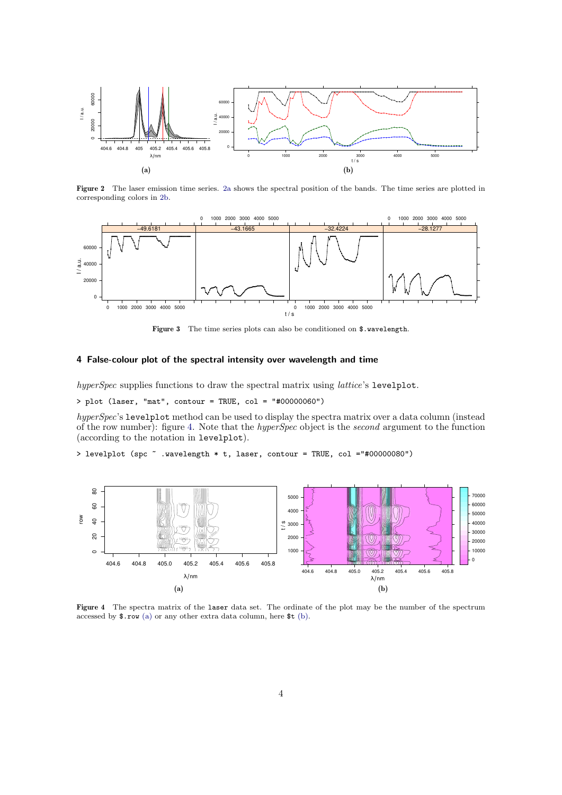<span id="page-3-1"></span>

<span id="page-3-2"></span>Figure 2 The laser emission time series. [2a](#page-3-1) shows the spectral position of the bands. The time series are plotted in corresponding colors in [2b.](#page-3-2)



Figure 3 The time series plots can also be conditioned on \$.wavelength.

# <span id="page-3-0"></span>4 False-colour plot of the spectral intensity over wavelength and time

hyperSpec supplies functions to draw the spectral matrix using *lattice's* levelplot.

> plot (laser, "mat", contour = TRUE, col = "#00000060")

hyperSpec's levelplot method can be used to display the spectra matrix over a data column (instead of the row number): figure [4.](#page-3-3) Note that the hyperSpec object is the second argument to the function (according to the notation in levelplot).

<span id="page-3-3"></span>> levelplot (spc ~ .wavelength \* t, laser, contour = TRUE, col ="#00000080")

<span id="page-3-4"></span>

<span id="page-3-5"></span>Figure 4 The spectra matrix of the laser data set. The ordinate of the plot may be the number of the spectrum accessed by \$.row [\(a\)](#page-3-4) or any other extra data column, here \$t [\(b\).](#page-3-5)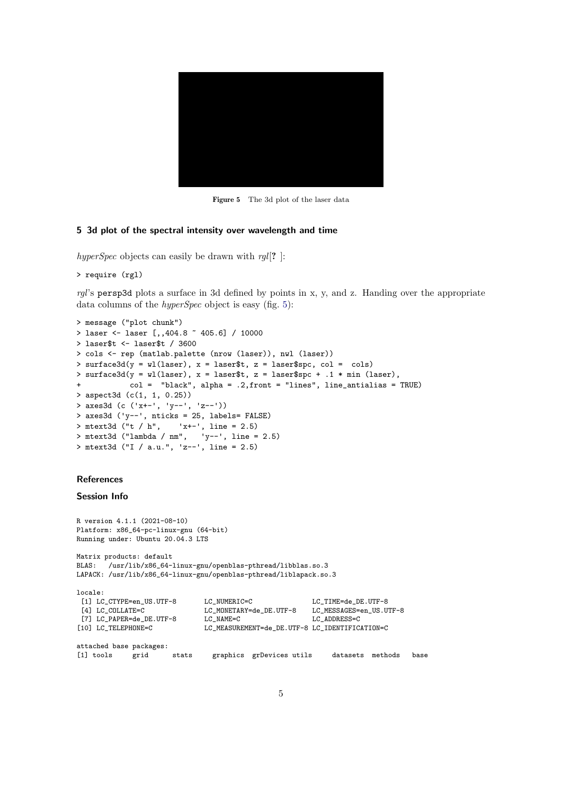<span id="page-4-1"></span>

Figure 5 The 3d plot of the laser data

## <span id="page-4-0"></span>5 3d plot of the spectral intensity over wavelength and time

hyperSpec objects can easily be drawn with  $rgl[?$  ]:

```
> require (rgl)
```
 $rgl's$  persp3d plots a surface in 3d defined by points in x, y, and z. Handing over the appropriate data columns of the *hyperSpec* object is easy (fig. [5\)](#page-4-1):

```
> message ("plot chunk")
> laser <- laser [,,404.8 ~ 405.6] / 10000
> laser$t <- laser$t / 3600
> cols <- rep (matlab.palette (nrow (laser)), nwl (laser))
> surface3d(y = wl(laser), x = laser$t, z = laser$spc, col = cols)
> surface3d(y = wl(laser), x = laser$t, z = laser$spc + .1 * min (laser),
            col = "black", alpha = .2,front = "lines", line_antialias = TRUE)
> aspect3d (c(1, 1, 0.25))
> axes3d (c ('x+-', 'y--', 'z--'))
> axes3d ('y--', nticks = 25, labels= FALSE)
> mtext3d ("t / h", 'x+-', line = 2.5)
> mtext3d ("lambda / nm", 'y--', line = 2.5)
> mtext3d ("I / a.u.", 'z--', line = 2.5)
```
## **References**

#### Session Info

```
R version 4.1.1 (2021-08-10)
Platform: x86_64-pc-linux-gnu (64-bit)
Running under: Ubuntu 20.04.3 LTS
Matrix products: default
BLAS: /usr/lib/x86_64-linux-gnu/openblas-pthread/libblas.so.3
LAPACK: /usr/lib/x86_64-linux-gnu/openblas-pthread/liblapack.so.3
locale:
 [1] LC_CTYPE=en_US.UTF-8 LC_NUMERIC=C LC_TIME=de_DE.UTF-8
 [4] LC_COLLATE=C LC_MONETARY=de_DE.UTF-8 LC_MESSAGES=en_US.UTF-8
[7] LC_PAPER=de_DE.UTF-8 LC_NAME=C LC_ADDRESS=C<br>[10] LC_TELEPHONE=C LC_MEASUREMENT=de_DE.UTF-8 LC_IDENTIFIC.
                              LC_MEASUREMENT=de_DE.UTF-8 LC_IDENTIFICATION=C
attached base packages:
[1] tools grid stats graphics grDevices utils datasets methods base
```